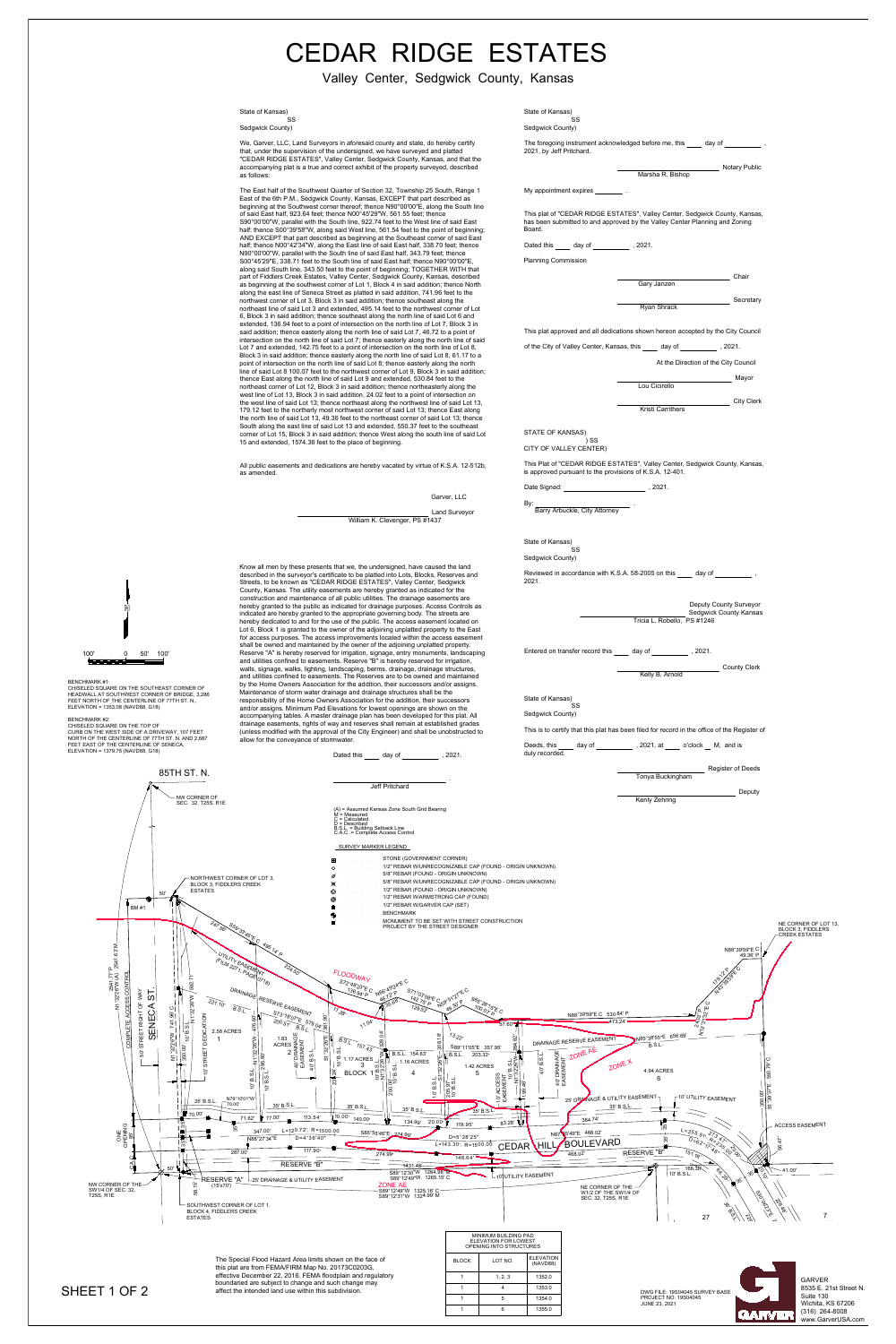

= Calculated<br>= Described<br>S.L. = Building Setback Line<br>A.C. = Complete Access Control<br>SURVEY MARKER LEGEND<br>STONE (GOVERNMENT CORNER)<br>1/2" REBAR W/UNRECOGNIZABLE CAP (FOUND - ORIGIN UNKNOWN)<br>5/8" REBAR (FOUND - ORIGIN UNKNOW



|                                                                       |  | <b>Gary Janzen</b>       |  | Chair             |
|-----------------------------------------------------------------------|--|--------------------------|--|-------------------|
|                                                                       |  | <b>Ryan Shrack</b>       |  | Secretary         |
| pproved and all dedications shown hereon accepted by the City Council |  |                          |  |                   |
| of Valley Center, Kansas, this day of 3021.                           |  |                          |  |                   |
| At the Direction of the City Council                                  |  |                          |  |                   |
|                                                                       |  | Lou Cicirello            |  | Mayor             |
|                                                                       |  | <b>Kristi Carrithers</b> |  | <b>City Clerk</b> |

85TH ST. N. NW CORNER OF SEC. 32, T25S, R1E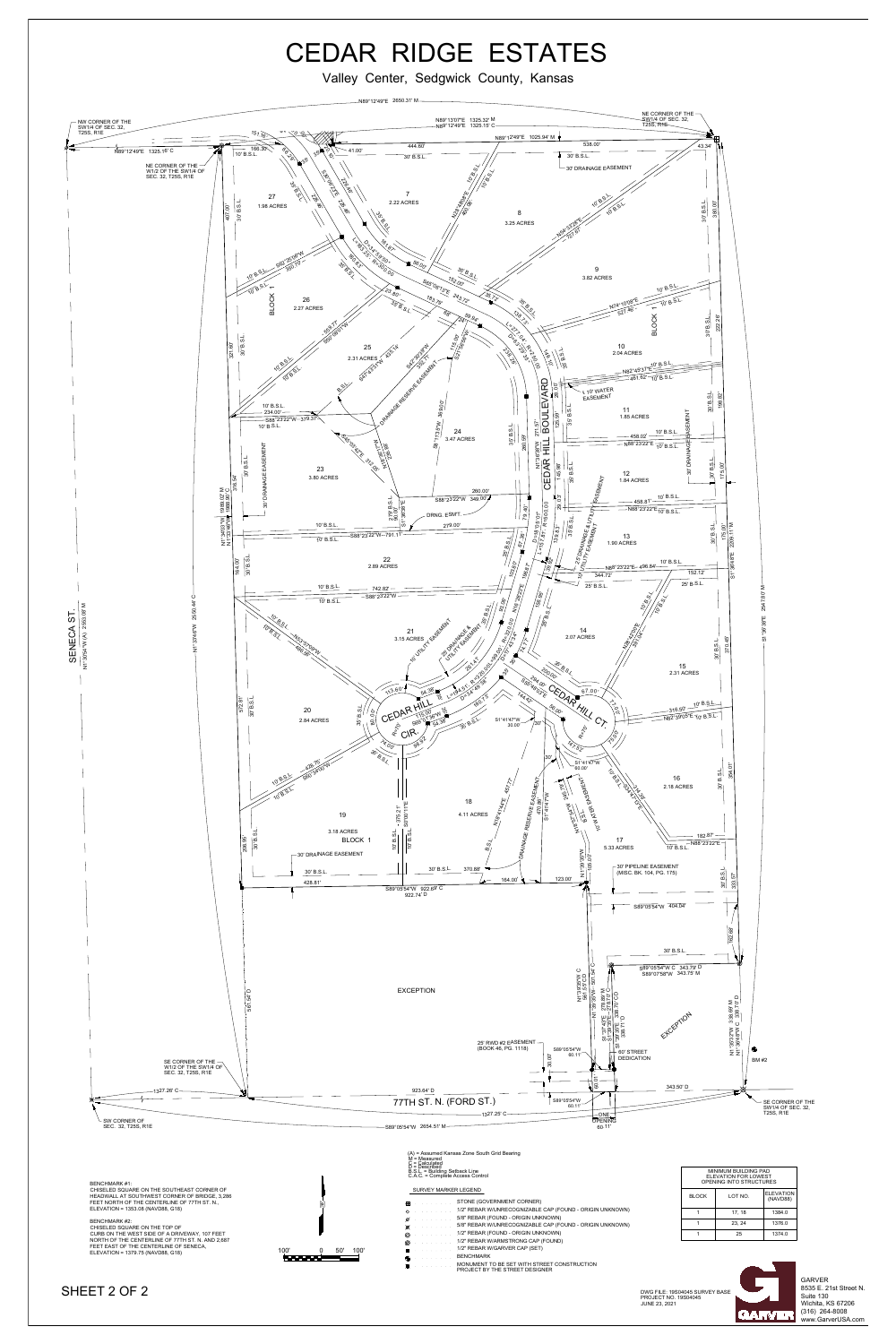Valley Center, Sedgwick County, Kansas<br>
N89°12'49"E 2650.31' M



**DWG FILE: 19S04045 SU<br>PROJECT NO. 19S04045**